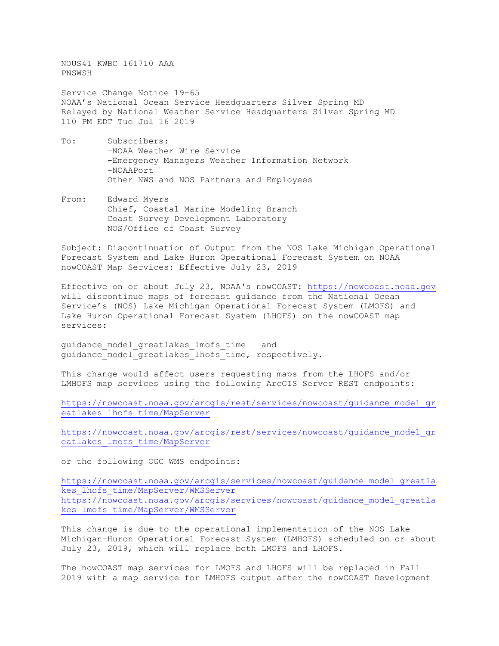NOUS41 KWBC 161710 AAA PNSWSH

Service Change Notice 19-65 NOAA's National Ocean Service Headquarters Silver Spring MD Relayed by National Weather Service Headquarters Silver Spring MD 110 PM EDT Tue Jul 16 2019

- To: Subscribers: -NOAA Weather Wire Service -Emergency Managers Weather Information Network -NOAAPort Other NWS and NOS Partners and Employees
- From: Edward Myers Chief, Coastal Marine Modeling Branch Coast Survey Development Laboratory NOS/Office of Coast Survey

Subject: Discontinuation of Output from the NOS Lake Michigan Operational Forecast System and Lake Huron Operational Forecast System on NOAA nowCOAST Map Services: Effective July 23, 2019

Effective on or about July 23, NOAA's nowCOAST: [https://nowcoast.noaa.gov](https://nowcoast.noaa.gov/) will discontinue maps of forecast guidance from the National Ocean Service's (NOS) Lake Michigan Operational Forecast System (LMOFS) and Lake Huron Operational Forecast System (LHOFS) on the nowCOAST map services:

guidance model greatlakes lmofs time and guidance model greatlakes lhofs time, respectively.

This change would affect users requesting maps from the LHOFS and/or LMHOFS map services using the following ArcGIS Server REST endpoints:

[https://nowcoast.noaa.gov/arcgis/rest/services/nowcoast/guidance\\_model\\_gr](https://nowcoast.noaa.gov/arcgis/rest/services/nowcoast/guidance_model_greatlakes_lhofs_time/MapServer) [eatlakes\\_lhofs\\_time/MapServer](https://nowcoast.noaa.gov/arcgis/rest/services/nowcoast/guidance_model_greatlakes_lhofs_time/MapServer)

[https://nowcoast.noaa.gov/arcgis/rest/services/nowcoast/guidance\\_model\\_gr](https://nowcoast.noaa.gov/arcgis/rest/services/nowcoast/guidance_model_greatlakes_lmofs_time/MapServer) [eatlakes\\_lmofs\\_time/MapServer](https://nowcoast.noaa.gov/arcgis/rest/services/nowcoast/guidance_model_greatlakes_lmofs_time/MapServer)

or the following OGC WMS endpoints:

[https://nowcoast.noaa.gov/arcgis/services/nowcoast/guidance\\_model\\_greatla](https://nowcoast.noaa.gov/arcgis/services/nowcoast/guidance_model_greatlakes_lhofs_time/MapServer/WMSServer) [kes\\_lhofs\\_time/MapServer/WMSServer](https://nowcoast.noaa.gov/arcgis/services/nowcoast/guidance_model_greatlakes_lhofs_time/MapServer/WMSServer) [https://nowcoast.noaa.gov/arcgis/services/nowcoast/guidance\\_model\\_greatla](https://nowcoast.noaa.gov/arcgis/services/nowcoast/guidance_model_greatlakes_lmofs_time/MapServer/WMSServer) [kes\\_lmofs\\_time/MapServer/WMSServer](https://nowcoast.noaa.gov/arcgis/services/nowcoast/guidance_model_greatlakes_lmofs_time/MapServer/WMSServer)

This change is due to the operational implementation of the NOS Lake Michigan-Huron Operational Forecast System (LMHOFS) scheduled on or about July 23, 2019, which will replace both LMOFS and LHOFS.

The nowCOAST map services for LMOFS and LHOFS will be replaced in Fall 2019 with a map service for LMHOFS output after the nowCOAST Development